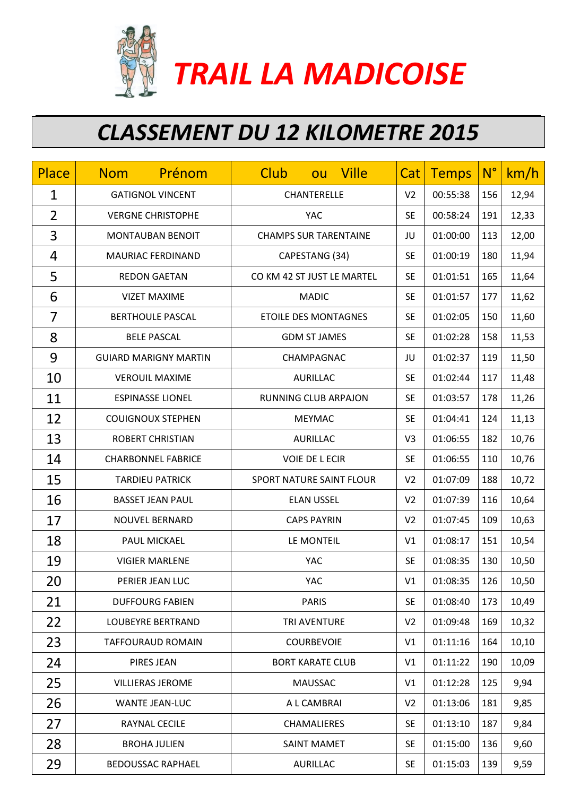

 *TRAIL LA MADICOISE*

## *CLASSEMENT DU 12 KILOMETRE 2015*

| Place          | Prénom<br><b>Nom</b>         | <b>Club</b><br><b>Ville</b><br>ou | Cat            | <b>Temps</b> | $N^{\circ}$ | km/h  |
|----------------|------------------------------|-----------------------------------|----------------|--------------|-------------|-------|
| $\mathbf 1$    | <b>GATIGNOL VINCENT</b>      | CHANTERELLE                       | V <sub>2</sub> | 00:55:38     | 156         | 12,94 |
| $\overline{2}$ | <b>VERGNE CHRISTOPHE</b>     | <b>YAC</b>                        | <b>SE</b>      | 00:58:24     | 191         | 12,33 |
| 3              | <b>MONTAUBAN BENOIT</b>      | <b>CHAMPS SUR TARENTAINE</b>      | JU             | 01:00:00     | 113         | 12,00 |
| 4              | MAURIAC FERDINAND            | CAPESTANG (34)                    | <b>SE</b>      | 01:00:19     | 180         | 11,94 |
| 5              | <b>REDON GAETAN</b>          | CO KM 42 ST JUST LE MARTEL        | <b>SE</b>      | 01:01:51     | 165         | 11,64 |
| 6              | <b>VIZET MAXIME</b>          | <b>MADIC</b>                      | <b>SE</b>      | 01:01:57     | 177         | 11,62 |
| $\overline{7}$ | <b>BERTHOULE PASCAL</b>      | <b>ETOILE DES MONTAGNES</b>       | <b>SE</b>      | 01:02:05     | 150         | 11,60 |
| 8              | <b>BELE PASCAL</b>           | <b>GDM ST JAMES</b>               | <b>SE</b>      | 01:02:28     | 158         | 11,53 |
| 9              | <b>GUIARD MARIGNY MARTIN</b> | CHAMPAGNAC                        | JU             | 01:02:37     | 119         | 11,50 |
| 10             | <b>VEROUIL MAXIME</b>        | <b>AURILLAC</b>                   | <b>SE</b>      | 01:02:44     | 117         | 11,48 |
| 11             | <b>ESPINASSE LIONEL</b>      | <b>RUNNING CLUB ARPAJON</b>       | <b>SE</b>      | 01:03:57     | 178         | 11,26 |
| 12             | <b>COUIGNOUX STEPHEN</b>     | <b>MEYMAC</b>                     | <b>SE</b>      | 01:04:41     | 124         | 11,13 |
| 13             | <b>ROBERT CHRISTIAN</b>      | <b>AURILLAC</b>                   | V <sub>3</sub> | 01:06:55     | 182         | 10,76 |
| 14             | <b>CHARBONNEL FABRICE</b>    | <b>VOIE DE LECIR</b>              | <b>SE</b>      | 01:06:55     | 110         | 10,76 |
| 15             | <b>TARDIEU PATRICK</b>       | SPORT NATURE SAINT FLOUR          | V <sub>2</sub> | 01:07:09     | 188         | 10,72 |
| 16             | <b>BASSET JEAN PAUL</b>      | <b>ELAN USSEL</b>                 | V <sub>2</sub> | 01:07:39     | 116         | 10,64 |
| 17             | <b>NOUVEL BERNARD</b>        | <b>CAPS PAYRIN</b>                | V <sub>2</sub> | 01:07:45     | 109         | 10,63 |
| 18             | PAUL MICKAEL                 | LE MONTEIL                        | V <sub>1</sub> | 01:08:17     | 151         | 10,54 |
| 19             | <b>VIGIER MARLENE</b>        | <b>YAC</b>                        | <b>SE</b>      | 01:08:35     | 130         | 10,50 |
| 20             | PERIER JEAN LUC              | <b>YAC</b>                        | V1             | 01:08:35     | 126         | 10,50 |
| 21             | <b>DUFFOURG FABIEN</b>       | <b>PARIS</b>                      | <b>SE</b>      | 01:08:40     | 173         | 10,49 |
| 22             | <b>LOUBEYRE BERTRAND</b>     | TRI AVENTURE                      | V <sub>2</sub> | 01:09:48     | 169         | 10,32 |
| 23             | <b>TAFFOURAUD ROMAIN</b>     | <b>COURBEVOIE</b>                 | V <sub>1</sub> | 01:11:16     | 164         | 10,10 |
| 24             | PIRES JEAN                   | <b>BORT KARATE CLUB</b>           | V1             | 01:11:22     | 190         | 10,09 |
| 25             | <b>VILLIERAS JEROME</b>      | <b>MAUSSAC</b>                    | V1             | 01:12:28     | 125         | 9,94  |
| 26             | <b>WANTE JEAN-LUC</b>        | A L CAMBRAI                       | V <sub>2</sub> | 01:13:06     | 181         | 9,85  |
| 27             | RAYNAL CECILE                | CHAMALIERES                       | <b>SE</b>      | 01:13:10     | 187         | 9,84  |
| 28             | <b>BROHA JULIEN</b>          | <b>SAINT MAMET</b>                | <b>SE</b>      | 01:15:00     | 136         | 9,60  |
| 29             | <b>BEDOUSSAC RAPHAEL</b>     | <b>AURILLAC</b>                   | <b>SE</b>      | 01:15:03     | 139         | 9,59  |